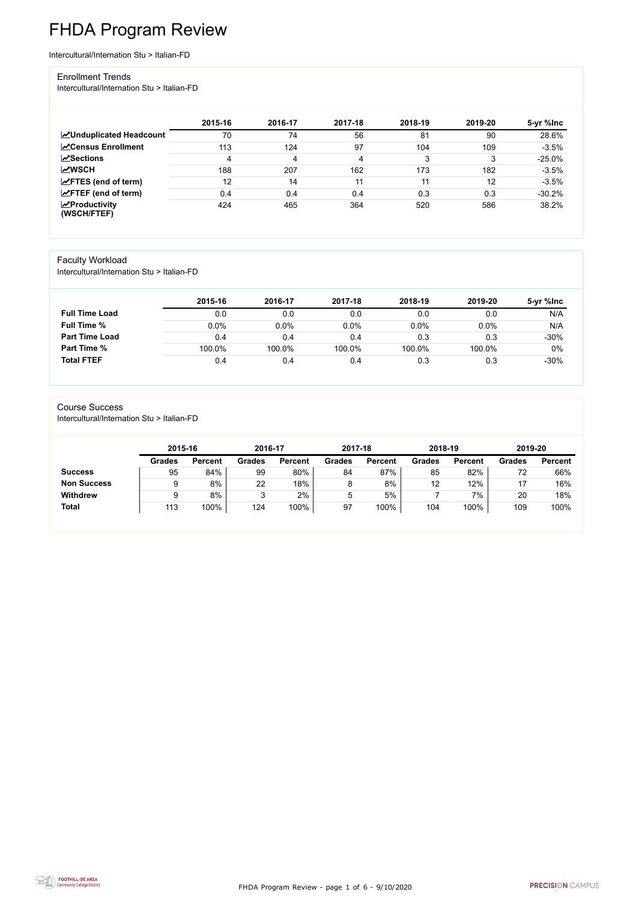FHDA Program Review - page 1 of 6 - 9/10/2020



# FHDA Program Review

Intercultural/Internation Stu > Italian-FD

#### Enrollment Trends

Intercultural/Internation Stu > Italian-FD

|                                    | 2015-16 | 2016-17 | 2017-18 | 2018-19 | 2019-20 | 5-yr %lnc |
|------------------------------------|---------|---------|---------|---------|---------|-----------|
| <b>ZUnduplicated Headcount</b>     | 70      | 74      | 56      | 81      | 90      | 28.6%     |
| <b>ZCensus Enrollment</b>          | 113     | 124     | 97      | 104     | 109     | $-3.5%$   |
| <b>ZSections</b>                   | 4       | 4       | 4       | 3       | 3       | $-25.0%$  |
| <b>MWSCH</b>                       | 188     | 207     | 162     | 173     | 182     | $-3.5%$   |
| $\angle$ FTES (end of term)        | 12      | 14      | 11      | 11      | 12      | $-3.5%$   |
| $\angle$ FTEF (end of term)        | 0.4     | 0.4     | 0.4     | 0.3     | 0.3     | $-30.2%$  |
| $\chi$ Productivity<br>(WSCH/FTEF) | 424     | 465     | 364     | 520     | 586     | 38.2%     |

### Faculty Workload

Intercultural/Internation Stu > Italian-FD

|                       | 2015-16 | 2016-17 | 2017-18 | 2018-19 | 2019-20 | 5-yr %Inc |
|-----------------------|---------|---------|---------|---------|---------|-----------|
| <b>Full Time Load</b> | 0.0     | 0.0     | 0.0     | 0.0     | 0.0     | N/A       |
| <b>Full Time %</b>    | 0.0%    | 0.0%    | $0.0\%$ | 0.0%    | 0.0%    | N/A       |
| <b>Part Time Load</b> | 0.4     | 0.4     | 0.4     | 0.3     | 0.3     | $-30%$    |
| <b>Part Time %</b>    | 100.0%  | 100.0%  | 100.0%  | 100.0%  | 100.0%  | $0\%$     |
| <b>Total FTEF</b>     | 0.4     | 0.4     | 0.4     | 0.3     | 0.3     | $-30%$    |

#### Course Success

Intercultural/Internation Stu > Italian-FD

| 2015-16       |                | 2016-17 |                | 2017-18       |                | 2018-19       |                | 2019-20       |                |
|---------------|----------------|---------|----------------|---------------|----------------|---------------|----------------|---------------|----------------|
| <b>Grades</b> | <b>Percent</b> | Grades  | <b>Percent</b> | <b>Grades</b> | <b>Percent</b> | <b>Grades</b> | <b>Percent</b> | <b>Grades</b> | <b>Percent</b> |
| 95            | 84%            | 99      | 80%            | 84            | 87%            | 85            | 82%            | 72            | 66%            |
|               | 8%             | 22      | 18%            |               | 8%             | 12            | 12%            |               | 16%            |
| ≂             | 8%             |         | 2%             | Ⴆ             | 5%             |               | $7\%$          | 20            | 18%            |
| 113           | 100%           | 124     | 100%           | 97            | 100%           | 104           | 100%           | 109           | 100%           |
|               |                |         |                |               |                |               |                |               |                |

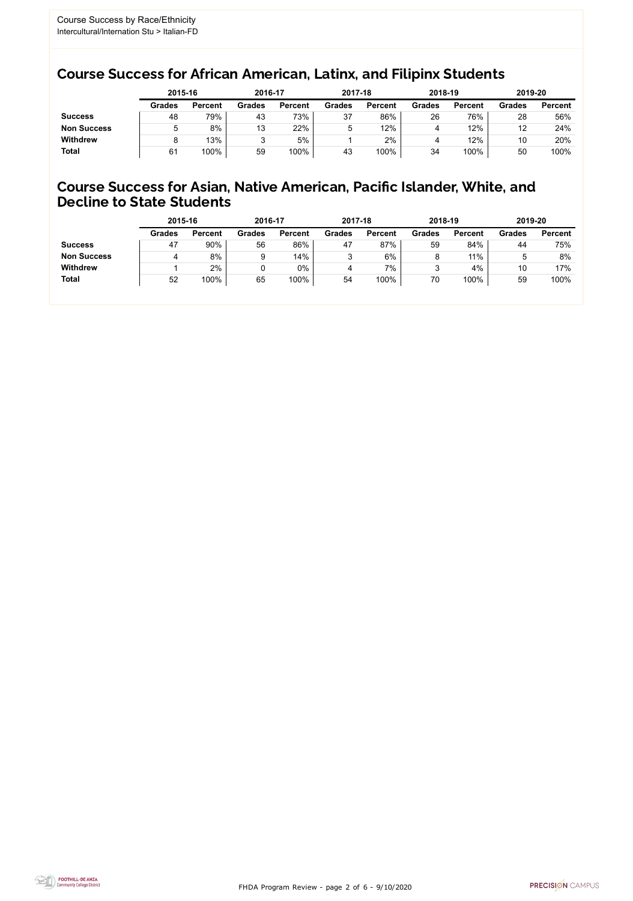FHDA Program Review - page 2 of 6 - 9/10/2020



### Course Success for African American, Latinx, and Filipinx Students

### Course Success for Asian, Native American, Pacific Islander, White, and Decline to State Students

|                    | 2015-16       |                | 2016-17       |                | 2017-18       |                | 2018-19       |                | 2019-20       |                |
|--------------------|---------------|----------------|---------------|----------------|---------------|----------------|---------------|----------------|---------------|----------------|
|                    | <b>Grades</b> | <b>Percent</b> | <b>Grades</b> | <b>Percent</b> | <b>Grades</b> | <b>Percent</b> | <b>Grades</b> | <b>Percent</b> | <b>Grades</b> | <b>Percent</b> |
| <b>Success</b>     | 48            | 79%            | 43            | 73%            | 37            | 86%            | 26            | 76%            | 28            | 56%            |
| <b>Non Success</b> |               | 8%             | 13            | 22%            | 5             | 12%            | 4             | 12%            | 12            | 24%            |
| <b>Withdrew</b>    |               | 13%            |               | 5%             |               | 2%             |               | 12%            | 10            | 20%            |
| <b>Total</b>       | 61            | 100%           | 59            | 100%           | 43            | 100%           | 34            | 100%           | 50            | 100%           |

|                    | 2015-16       |                | 2016-17       |                | 2017-18       |                | 2018-19       |                | 2019-20       |                |
|--------------------|---------------|----------------|---------------|----------------|---------------|----------------|---------------|----------------|---------------|----------------|
|                    | <b>Grades</b> | <b>Percent</b> | <b>Grades</b> | <b>Percent</b> | <b>Grades</b> | <b>Percent</b> | <b>Grades</b> | <b>Percent</b> | <b>Grades</b> | <b>Percent</b> |
| <b>Success</b>     | 47            | 90%            | 56            | 86%            | 47            | 87%            | 59            | 84%            | 44            | 75%            |
| <b>Non Success</b> | 4             | 8%             |               | 14%            |               | 6%             |               | 11%            | 5             | 8%             |
| <b>Withdrew</b>    |               | 2%             |               | 0%             | 4             | 7%             |               | 4%             | 10            | 17%            |
| <b>Total</b>       | 52            | 100%           | 65            | 100%           | 54            | 100%           | 70            | 100%           | 59            | 100%           |
|                    |               |                |               |                |               |                |               |                |               |                |

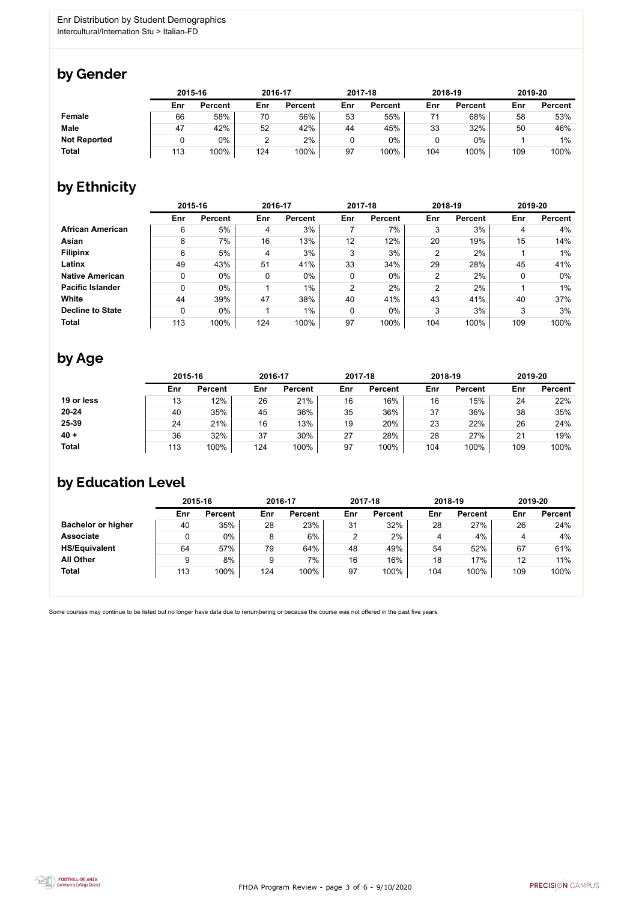

Some courses may continue to be listed but no longer have data due to renumbering or because the course was not offered in the past five years.



### by Gender

|                     |     | 2015-16        |     | 2016-17        |     | 2017-18        |     | 2018-19        |     | 2019-20        |  |
|---------------------|-----|----------------|-----|----------------|-----|----------------|-----|----------------|-----|----------------|--|
|                     | Enr | <b>Percent</b> | Enr | <b>Percent</b> | Enr | <b>Percent</b> | Enr | <b>Percent</b> | Enr | <b>Percent</b> |  |
| Female              | 66  | 58%            | 70  | 56%            | 53  | 55%            | 71  | 68%            | 58  | 53%            |  |
| <b>Male</b>         | 47  | 42%            | 52  | 42%            | 44  | 45%            | 33  | 32%            | 50  | 46%            |  |
| <b>Not Reported</b> |     | $0\%$          |     | 2%             |     | 0%             |     | $0\%$          |     | $1\%$          |  |
| <b>Total</b>        | 113 | 100%           | 124 | 100%           | 97  | 100%           | 104 | 100%           | 109 | 100%           |  |

### by Ethnicity

|                         | 2015-16 |                |     | 2016-17        |                | 2017-18        |                | 2018-19        | 2019-20 |                |
|-------------------------|---------|----------------|-----|----------------|----------------|----------------|----------------|----------------|---------|----------------|
|                         | Enr     | <b>Percent</b> | Enr | <b>Percent</b> | Enr            | <b>Percent</b> | Enr            | <b>Percent</b> | Enr     | <b>Percent</b> |
| <b>African American</b> | 6       | 5%             | 4   | 3%             |                | 7%             | 3              | 3%             | 4       | 4%             |
| <b>Asian</b>            | 8       | 7%             | 16  | 13%            | 12             | 12%            | 20             | 19%            | 15      | 14%            |
| <b>Filipinx</b>         | 6       | 5%             | 4   | 3%             | 3              | 3%             | $\overline{2}$ | 2%             |         | $1\%$          |
| Latinx                  | 49      | 43%            | 51  | 41%            | 33             | 34%            | 29             | 28%            | 45      | 41%            |
| <b>Native American</b>  | 0       | $0\%$          | 0   | $0\%$          | $\mathbf 0$    | $0\%$          | $\overline{2}$ | 2%             | 0       | $0\%$          |
| <b>Pacific Islander</b> | 0       | $0\%$          |     | $1\%$          | $\overline{2}$ | 2%             | $\overline{2}$ | 2%             |         | $1\%$          |
| <b>White</b>            | 44      | 39%            | 47  | 38%            | 40             | 41%            | 43             | 41%            | 40      | 37%            |
| <b>Decline to State</b> | 0       | $0\%$          |     | $1\%$          | $\mathbf 0$    | $0\%$          | 3              | 3%             | 3       | 3%             |
| <b>Total</b>            | 113     | 100%           | 124 | 100%           | 97             | 100%           | 104            | 100%           | 109     | 100%           |

### by Age

|              | 2015-16 |                |     | 2016-17        |     | 2017-18        |     | 2018-19        | 2019-20 |                |
|--------------|---------|----------------|-----|----------------|-----|----------------|-----|----------------|---------|----------------|
|              | Enr     | <b>Percent</b> | Enr | <b>Percent</b> | Enr | <b>Percent</b> | Enr | <b>Percent</b> | Enr     | <b>Percent</b> |
| 19 or less   | 13      | 12%            | 26  | 21%            | 16  | 16%            | 16  | 15%            | 24      | 22%            |
| $20 - 24$    | 40      | 35%            | 45  | 36%            | 35  | 36%            | 37  | 36%            | 38      | 35%            |
| 25-39        | 24      | 21%            | 16  | 13%            | 19  | 20%            | 23  | 22%            | 26      | 24%            |
| $40 +$       | 36      | 32%            | 37  | 30%            | 27  | 28%            | 28  | 27%            | 21      | 19%            |
| <b>Total</b> | 113     | 100%           | 124 | 100%           | 97  | 100%           | 104 | 100%           | 109     | 100%           |

## by Education Level

|                           | 2015-16 |                |     | 2016-17        |     | 2017-18        | 2018-19 |                | 2019-20 |                |
|---------------------------|---------|----------------|-----|----------------|-----|----------------|---------|----------------|---------|----------------|
|                           | Enr     | <b>Percent</b> | Enr | <b>Percent</b> | Enr | <b>Percent</b> | Enr     | <b>Percent</b> | Enr     | <b>Percent</b> |
| <b>Bachelor or higher</b> | 40      | 35%            | 28  | 23%            | 31  | 32%            | 28      | 27%            | 26      | 24%            |
| <b>Associate</b>          | ν       | 0%             | 8   | 6%             |     | 2%             | 4       | 4%             |         | 4%             |
| <b>HS/Equivalent</b>      | 64      | 57%            | 79  | 64%            | 48  | 49%            | 54      | 52%            | 67      | 61%            |
| <b>All Other</b>          | 9       | 8%             | 9   | 7%             | 16  | 16%            | 18      | 17%            | 12      | 11%            |
| <b>Total</b>              | 113     | 100%           | 124 | 100%           | 97  | 100%           | 104     | 100%           | 109     | 100%           |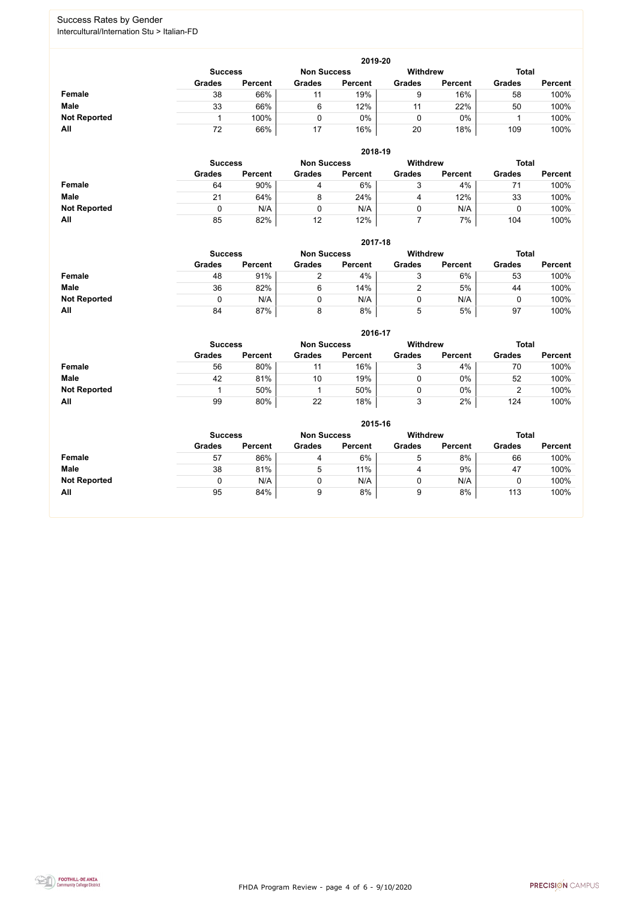FHDA Program Review - page 4 of 6 - 9/10/2020



### Success Rates by Gender Intercultural/Internation Stu > Italian-FD

|                     | 2019-20        |                 |               |                |               |                |               |                |  |  |  |  |  |
|---------------------|----------------|-----------------|---------------|----------------|---------------|----------------|---------------|----------------|--|--|--|--|--|
|                     | <b>Success</b> | <b>Withdrew</b> |               | <b>Total</b>   |               |                |               |                |  |  |  |  |  |
|                     | <b>Grades</b>  | <b>Percent</b>  | <b>Grades</b> | <b>Percent</b> | <b>Grades</b> | <b>Percent</b> | <b>Grades</b> | <b>Percent</b> |  |  |  |  |  |
| Female              | 38             | 66%             | 11            | 19%            | 9             | 16%            | 58            | 100%           |  |  |  |  |  |
| <b>Male</b>         | 33             | 66%             | 6             | 12%            |               | 22%            | 50            | 100%           |  |  |  |  |  |
| <b>Not Reported</b> |                | 100%            |               | 0%             | 0             | $0\%$          |               | 100%           |  |  |  |  |  |
| All                 | 72             | 66%             | 17            | 16%            | 20            | 18%            | 109           | 100%           |  |  |  |  |  |

|                     |                | 2018-19        |                    |                |                 |                |               |                |  |  |  |  |  |  |
|---------------------|----------------|----------------|--------------------|----------------|-----------------|----------------|---------------|----------------|--|--|--|--|--|--|
|                     | <b>Success</b> |                | <b>Non Success</b> |                | <b>Withdrew</b> |                | <b>Total</b>  |                |  |  |  |  |  |  |
|                     | <b>Grades</b>  | <b>Percent</b> | <b>Grades</b>      | <b>Percent</b> | <b>Grades</b>   | <b>Percent</b> | <b>Grades</b> | <b>Percent</b> |  |  |  |  |  |  |
| <b>Female</b>       | 64             | 90%            | 4                  | 6%             | ર<br>ັ          | 4%             |               | 100%           |  |  |  |  |  |  |
| <b>Male</b>         | 21             | 64%            | 8                  | 24%            | 4               | 12%            | 33            | 100%           |  |  |  |  |  |  |
| <b>Not Reported</b> | 0              | N/A            |                    | N/A            |                 | N/A            |               | 100%           |  |  |  |  |  |  |
| All                 | 85             | 82%            | 12                 | 12%            |                 | 7%             | 104           | 100%           |  |  |  |  |  |  |

|                     | 2017-18        |                    |                 |                |               |                |               |                |  |  |  |  |  |
|---------------------|----------------|--------------------|-----------------|----------------|---------------|----------------|---------------|----------------|--|--|--|--|--|
|                     | <b>Success</b> | <b>Non Success</b> | <b>Withdrew</b> |                | <b>Total</b>  |                |               |                |  |  |  |  |  |
|                     | <b>Grades</b>  | <b>Percent</b>     | <b>Grades</b>   | <b>Percent</b> | <b>Grades</b> | <b>Percent</b> | <b>Grades</b> | <b>Percent</b> |  |  |  |  |  |
| <b>Female</b>       | 48             | 91%                |                 | 4%             | 3             | 6%             | 53            | 100%           |  |  |  |  |  |
| <b>Male</b>         | 36             | 82%                | 6               | 14%            |               | 5%             | 44            | 100%           |  |  |  |  |  |
| <b>Not Reported</b> |                | N/A                | 0               | N/A            |               | N/A            | u             | 100%           |  |  |  |  |  |
| All                 | 84             | 87%                | 8               | 8%             | 5             | 5%             | 97            | 100%           |  |  |  |  |  |

|                     |               | 2016-17        |               |                |                 |                |               |                |  |
|---------------------|---------------|----------------|---------------|----------------|-----------------|----------------|---------------|----------------|--|
|                     |               | <b>Success</b> |               |                | <b>Withdrew</b> |                | <b>Total</b>  |                |  |
|                     | <b>Grades</b> | <b>Percent</b> | <b>Grades</b> | <b>Percent</b> | <b>Grades</b>   | <b>Percent</b> | <b>Grades</b> | <b>Percent</b> |  |
| Female              | 56            | 80%            | 11            | 16%            | າ               | 4%             | 70            | 100%           |  |
| <b>Male</b>         | 42            | 81%            | 10            | 19%            | U               | $0\%$          | 52            | 100%           |  |
| <b>Not Reported</b> |               | 50%            |               | 50%            |                 | $0\%$          |               | 100%           |  |
| All                 | 99            | 80%            | 22            | 18%            | າ               | 2%             | 124           | 100%           |  |

|                     | 2015-16        |                |                    |                |                 |                |               |                |  |
|---------------------|----------------|----------------|--------------------|----------------|-----------------|----------------|---------------|----------------|--|
|                     | <b>Success</b> |                | <b>Non Success</b> |                | <b>Withdrew</b> |                | <b>Total</b>  |                |  |
|                     | <b>Grades</b>  | <b>Percent</b> | <b>Grades</b>      | <b>Percent</b> | <b>Grades</b>   | <b>Percent</b> | <b>Grades</b> | <b>Percent</b> |  |
| <b>Female</b>       | 57             | 86%            | 4                  | 6%             | 5               | 8%             | 66            | 100%           |  |
| <b>Male</b>         | 38             | 81%            | 5                  | 11%            | 4               | 9%             | 47            | 100%           |  |
| <b>Not Reported</b> |                | N/A            | 0                  | N/A            | 0               | N/A            | ν             | 100%           |  |
| All                 | 95             | 84%            | 9                  | 8%             | 9               | 8%             | 113           | 100%           |  |

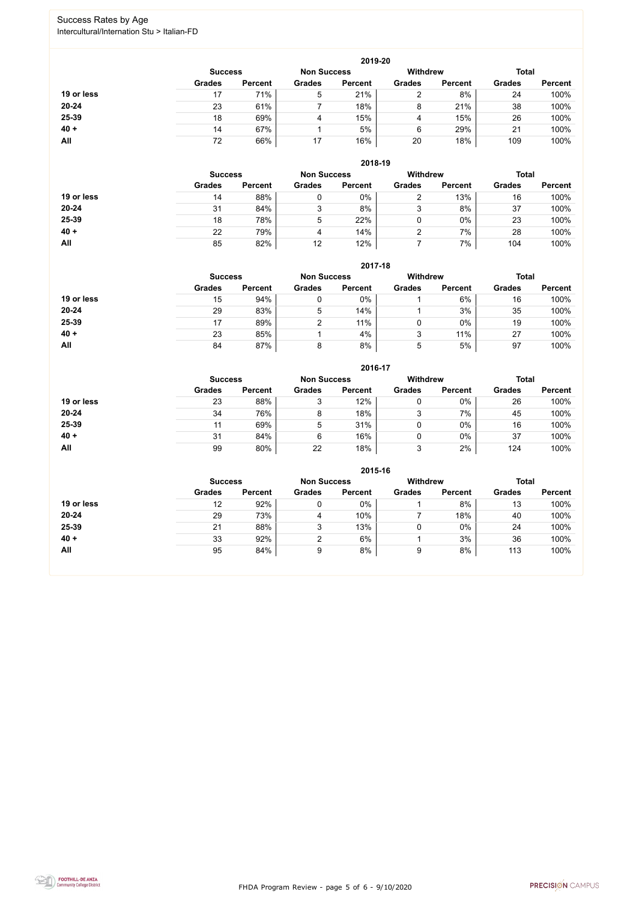FHDA Program Review - page 5 of 6 - 9/10/2020



### Success Rates by Age Intercultural/Internation Stu > Italian-FD

|            | 2019-20        |                    |               |                 |               |                |               |                |  |
|------------|----------------|--------------------|---------------|-----------------|---------------|----------------|---------------|----------------|--|
|            | <b>Success</b> | <b>Non Success</b> |               | <b>Withdrew</b> |               | <b>Total</b>   |               |                |  |
|            | <b>Grades</b>  | <b>Percent</b>     | <b>Grades</b> | <b>Percent</b>  | <b>Grades</b> | <b>Percent</b> | <b>Grades</b> | <b>Percent</b> |  |
| 19 or less | 17             | 71%                | 5             | 21%             |               | 8%             | 24            | 100%           |  |
| $20 - 24$  | 23             | 61%                |               | 18%             | 8             | 21%            | 38            | 100%           |  |
| 25-39      | 18             | 69%                | 4             | 15%             | 4             | 15%            | 26            | 100%           |  |
| $40 +$     | 14             | 67%                |               | 5%              | 6             | 29%            | 21            | 100%           |  |
| All        | 72             | 66%                | 17            | 16%             | 20            | 18%            | 109           | 100%           |  |

|            | 2018-19                              |                |               |                |                 |                |               |                |  |
|------------|--------------------------------------|----------------|---------------|----------------|-----------------|----------------|---------------|----------------|--|
|            | <b>Non Success</b><br><b>Success</b> |                |               |                | <b>Withdrew</b> |                | <b>Total</b>  |                |  |
|            | <b>Grades</b>                        | <b>Percent</b> | <b>Grades</b> | <b>Percent</b> | <b>Grades</b>   | <b>Percent</b> | <b>Grades</b> | <b>Percent</b> |  |
| 19 or less | 14                                   | 88%            |               | 0%             | າ               | 13%            | 16            | 100%           |  |
| $20 - 24$  | 31                                   | 84%            | 3             | 8%             | 3               | 8%             | 37            | 100%           |  |
| 25-39      | 18                                   | 78%            | 5             | 22%            | 0               | 0%             | 23            | 100%           |  |
| $40 +$     | 22                                   | 79%            | 4             | 14%            | ⌒               | 7%             | 28            | 100%           |  |
| All        | 85                                   | 82%            | 12            | 12%            |                 | 7%             | 104           | 100%           |  |

**2017-18**

|            |                |                    |               | ZUT F10         |               |                |               |                |
|------------|----------------|--------------------|---------------|-----------------|---------------|----------------|---------------|----------------|
|            | <b>Success</b> | <b>Non Success</b> |               | <b>Withdrew</b> |               | <b>Total</b>   |               |                |
|            | <b>Grades</b>  | <b>Percent</b>     | <b>Grades</b> | <b>Percent</b>  | <b>Grades</b> | <b>Percent</b> | <b>Grades</b> | <b>Percent</b> |
| 19 or less | 15             | 94%                |               | 0%              |               | 6%             | 16            | 100%           |
| $20 - 24$  | 29             | 83%                | 5             | 14%             |               | 3%             | 35            | 100%           |
| 25-39      |                | 89%                |               | 11%             |               | $0\%$          | 19            | 100%           |
| $40 +$     | 23             | 85%                |               | 4%              | ບ             | 11%            | 27            | 100%           |
| All        | 84             | 87%                |               | 8%              | ხ             | 5%             | 97            | 100%           |

#### **2016-17**



|            |                |                    |               | 60 I V <sup>-</sup> I <i>I</i> |               |                |               |                |
|------------|----------------|--------------------|---------------|--------------------------------|---------------|----------------|---------------|----------------|
|            | <b>Success</b> | <b>Non Success</b> |               | <b>Withdrew</b>                |               | <b>Total</b>   |               |                |
|            | <b>Grades</b>  | <b>Percent</b>     | <b>Grades</b> | <b>Percent</b>                 | <b>Grades</b> | <b>Percent</b> | <b>Grades</b> | <b>Percent</b> |
| 19 or less | 23             | 88%                | J             | 12%                            |               | $0\%$          | 26            | 100%           |
| $20 - 24$  | 34             | 76%                | 8             | 18%                            | 3             | 7%             | 45            | 100%           |
| 25-39      |                | 69%                | 5             | 31%                            |               | $0\%$          | 16            | 100%           |
| $40 +$     | 31             | 84%                | 6             | 16%                            |               | $0\%$          | 37            | 100%           |
| All        | 99             | 80%                | 22            | 18%                            | 3             | 2%             | 124           | 100%           |

|            | 2015-16        |                    |               |                 |               |                |               |                |  |
|------------|----------------|--------------------|---------------|-----------------|---------------|----------------|---------------|----------------|--|
|            | <b>Success</b> | <b>Non Success</b> |               | <b>Withdrew</b> |               | <b>Total</b>   |               |                |  |
|            | <b>Grades</b>  | <b>Percent</b>     | <b>Grades</b> | <b>Percent</b>  | <b>Grades</b> | <b>Percent</b> | <b>Grades</b> | <b>Percent</b> |  |
| 19 or less | 12             | 92%                |               | 0%              |               | 8%             | 13            | 100%           |  |
| $20 - 24$  | 29             | 73%                | 4             | 10%             |               | 18%            | 40            | 100%           |  |
| 25-39      | 21             | 88%                | 3             | 13%             |               | $0\%$          | 24            | 100%           |  |
| $40 +$     | 33             | 92%                | ⌒             | 6%              |               | 3%             | 36            | 100%           |  |
| All        | 95             | 84%                | 9             | 8%              | 9             | 8%             | 113           | 100%           |  |